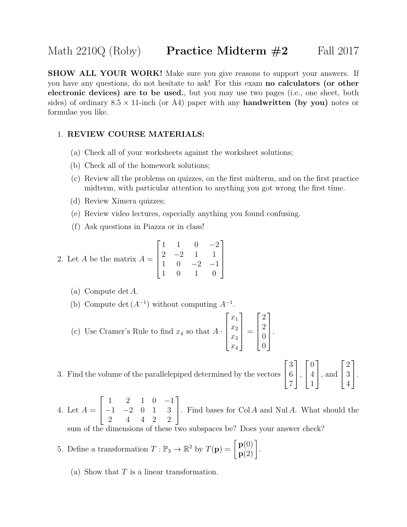**SHOW ALL YOUR WORK!** Make sure you give reasons to support your answers. If you have any questions, do not hesitate to ask! For this exam no calculators (or other electronic devices) are to be used., but you may use two pages (i.e., one sheet, both sides) of ordinary  $8.5 \times 11$ -inch (or A4) paper with any **handwritten** (by you) notes or formulae you like.

## 1. REVIEW COURSE MATERIALS:

- (a) Check all of your worksheets against the worksheet solutions;
- (b) Check all of the homework solutions;
- (c) Review all the problems on quizzes, on the first midterm, and on the first practice midterm, with particular attention to anything you got wrong the first time.
- (d) Review Ximera quizzes;
- (e) Review video lectures, especially anything you found confusing.
- (f) Ask questions in Piazza or in class!

2. Let *A* be the matrix 
$$
A = \begin{bmatrix} 1 & 1 & 0 & -2 \\ 2 & -2 & 1 & 1 \\ 1 & 0 & -2 & -1 \\ 1 & 0 & 1 & 0 \end{bmatrix}
$$

- (a) Compute det A.
- (b) Compute det  $(A^{-1})$  without computing  $A^{-1}$ .
- (c) Use Cramer's Rule to find  $x_4$  so that  $A \cdot$  $\sqrt{ }$  $\begin{matrix} \phantom{-} \end{matrix}$  $\overline{x}_1$  $\overline{x_2}$  $\overline{x_3}$  $\overline{x_4}$ 1  $\begin{matrix} \phantom{-} \end{matrix}$ =  $\sqrt{ }$  $\Bigg\}$ 2 2 0  $\overline{0}$ 1  $\begin{matrix} \phantom{-} \end{matrix}$ .
- 3. Find the volume of the parallelepiped determined by the vectors  $\sqrt{ }$  $\overline{1}$ 6 7  $\vert$ ,

3 1  $\sqrt{ }$  $\overline{1}$  $\overline{0}$ 4 1 1 , and  $\sqrt{ }$  $\overline{1}$ 2 3 4 1  $\vert \cdot$ 

4. Let  $A =$  $\sqrt{ }$  $\overline{1}$ 1 2 1 0 −1 −1 −2 0 1 3 2 4 4 2 2 1 . Find bases for  $Col A$  and  $Nul A$ . What should the

these two subspaces be? Does your answer check?

- 5. Define a transformation  $T : \mathbb{P}_3 \to \mathbb{R}^2$  by  $T(\mathbf{p}) = \begin{bmatrix} \mathbf{p}(0) \\ \mathbf{p}(2) \end{bmatrix}$ .
	- (a) Show that  $T$  is a linear transformation.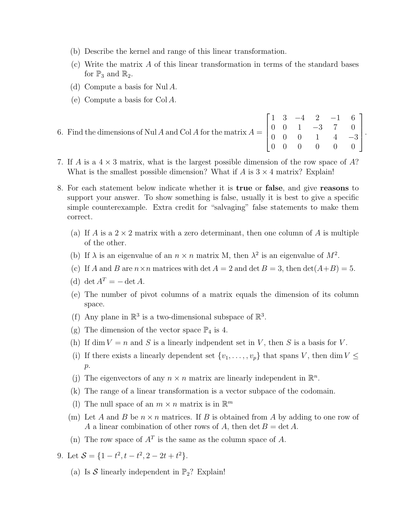- (b) Describe the kernel and range of this linear transformation.
- (c) Write the matrix A of this linear transformation in terms of the standard bases for  $\mathbb{P}_3$  and  $\mathbb{R}_2$ .
- (d) Compute a basis for Nul A.
- (e) Compute a basis for Col A.

| 6. Find the dimensions of Nul A and Col A for the matrix $A = \begin{bmatrix} 1 & 3 & -4 & 2 & -1 & 6 \\ 0 & 0 & 1 & -3 & 7 & 0 \\ 0 & 0 & 0 & 1 & 4 & -3 \\ 0 & 0 & 0 & 0 & 0 & 0 \end{bmatrix}$ . |  |  |  |  |
|-----------------------------------------------------------------------------------------------------------------------------------------------------------------------------------------------------|--|--|--|--|
|                                                                                                                                                                                                     |  |  |  |  |
|                                                                                                                                                                                                     |  |  |  |  |
|                                                                                                                                                                                                     |  |  |  |  |

- 7. If A is a  $4 \times 3$  matrix, what is the largest possible dimension of the row space of A? What is the smallest possible dimension? What if  $A$  is  $3 \times 4$  matrix? Explain!
- 8. For each statement below indicate whether it is true or false, and give reasons to support your answer. To show something is false, usually it is best to give a specific simple counterexample. Extra credit for "salvaging" false statements to make them correct.
	- (a) If A is a  $2 \times 2$  matrix with a zero determinant, then one column of A is multiple of the other.
	- (b) If  $\lambda$  is an eigenvalue of an  $n \times n$  matrix M, then  $\lambda^2$  is an eigenvalue of  $M^2$ .
	- (c) If A and B are  $n \times n$  matrices with det  $A = 2$  and det  $B = 3$ , then  $\det(A+B) = 5$ .
	- (d) det  $A^T = \det A$ .
	- (e) The number of pivot columns of a matrix equals the dimension of its column space.
	- (f) Any plane in  $\mathbb{R}^3$  is a two-dimensional subspace of  $\mathbb{R}^3$ .
	- (g) The dimension of the vector space  $\mathbb{P}_4$  is 4.
	- (h) If dim  $V = n$  and S is a linearly indpendent set in V, then S is a basis for V.
	- (i) If there exists a linearly dependent set  $\{v_1, \ldots, v_p\}$  that spans V, then dim  $V \leq$  $p$ .
	- (j) The eigenvectors of any  $n \times n$  matrix are linearly independent in  $\mathbb{R}^n$ .
	- (k) The range of a linear transformation is a vector subpace of the codomain.
	- (1) The null space of an  $m \times n$  matrix is in  $\mathbb{R}^m$
	- (m) Let A and B be  $n \times n$  matrices. If B is obtained from A by adding to one row of A a linear combination of other rows of A, then det  $B = \det A$ .
	- (n) The row space of  $A<sup>T</sup>$  is the same as the column space of A.
- 9. Let  $S = \{1 t^2, t t^2, 2 2t + t^2\}.$ 
	- (a) Is S linearly independent in  $\mathbb{P}_2$ ? Explain!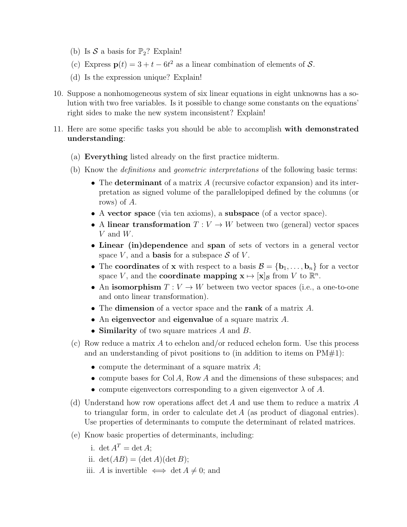- (b) Is  $S$  a basis for  $\mathbb{P}_2$ ? Explain!
- (c) Express  $\mathbf{p}(t) = 3 + t 6t^2$  as a linear combination of elements of S.
- (d) Is the expression unique? Explain!
- 10. Suppose a nonhomogeneous system of six linear equations in eight unknowns has a solution with two free variables. Is it possible to change some constants on the equations' right sides to make the new system inconsistent? Explain!
- 11. Here are some specific tasks you should be able to accomplish with demonstrated understanding:
	- (a) Everything listed already on the first practice midterm.
	- (b) Know the definitions and geometric interpretations of the following basic terms:
		- The determinant of a matrix  $A$  (recursive cofactor expansion) and its interpretation as signed volume of the parallelopiped defined by the columns (or rows) of A.
		- A vector space (via ten axioms), a subspace (of a vector space).
		- A linear transformation  $T: V \to W$  between two (general) vector spaces V and W.
		- Linear (in)dependence and span of sets of vectors in a general vector space  $V$ , and a **basis** for a subspace  $S$  of  $V$ .
		- The coordinates of x with respect to a basis  $\mathcal{B} = {\bf{b}_1, \ldots, b_n}$  for a vector space V, and the **coordinate mapping**  $\mathbf{x} \mapsto [\mathbf{x}]_B$  from V to  $\mathbb{R}^n$ .
		- An isomorphism  $T: V \to W$  between two vector spaces (i.e., a one-to-one and onto linear transformation).
		- The **dimension** of a vector space and the **rank** of a matrix A.
		- An eigenvector and eigenvalue of a square matrix A.
		- **Similarity** of two square matrices A and B.
	- (c) Row reduce a matrix A to echelon and/or reduced echelon form. Use this process and an understanding of pivot positions to (in addition to items on  $PM#1$ ):
		- compute the determinant of a square matrix  $A$ ;
		- compute bases for Col A, Row A and the dimensions of these subspaces; and
		- compute eigenvectors corresponding to a given eigenvector  $\lambda$  of A.
	- (d) Understand how row operations affect det A and use them to reduce a matrix  $A$ to triangular form, in order to calculate det A (as product of diagonal entries). Use properties of determinants to compute the determinant of related matrices.
	- (e) Know basic properties of determinants, including:
		- i. det  $A^T = \det A$ ;
		- ii.  $\det(AB) = (\det A)(\det B);$
		- iii. A is invertible  $\iff$  det  $A \neq 0$ ; and